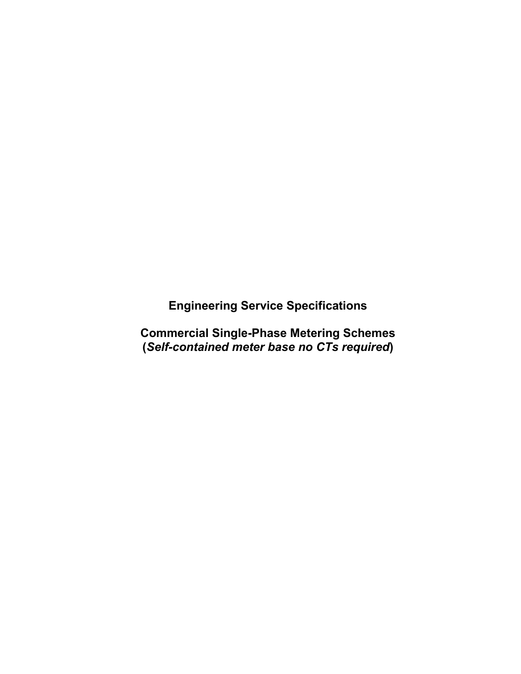**Engineering Service Specifications**

**Commercial Single-Phase Metering Schemes (***Self-contained meter base no CTs required***)**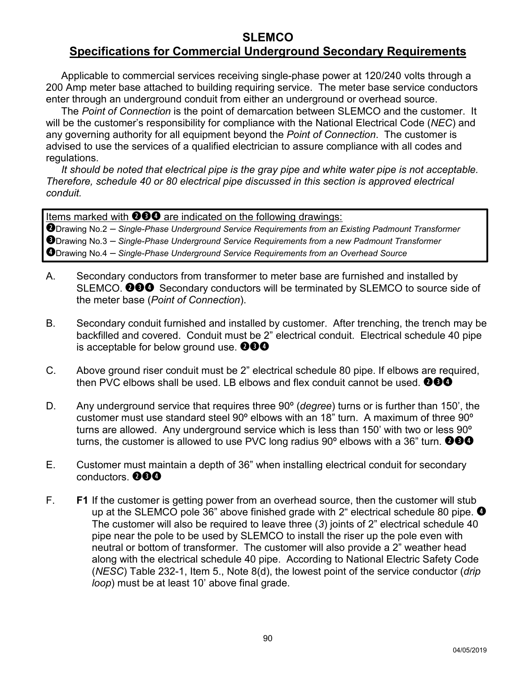#### **SLEMCO Specifications for Commercial Underground Secondary Requirements**

Applicable to commercial services receiving single-phase power at 120/240 volts through a 200 Amp meter base attached to building requiring service. The meter base service conductors enter through an underground conduit from either an underground or overhead source.

The *Point of Connection* is the point of demarcation between SLEMCO and the customer. It will be the customer's responsibility for compliance with the National Electrical Code (*NEC*) and any governing authority for all equipment beyond the *Point of Connection*. The customer is advised to use the services of a qualified electrician to assure compliance with all codes and regulations.

*It should be noted that electrical pipe is the gray pipe and white water pipe is not acceptable. Therefore, schedule 40 or 80 electrical pipe discussed in this section is approved electrical conduit.*

Items marked with  $\mathbf{\Theta} \mathbf{\Theta} \mathbf{\Theta}$  are indicated on the following drawings:

Drawing No.2 – *Single-Phase Underground Service Requirements from an Existing Padmount Transformer* Drawing No.3 – *Single-Phase Underground Service Requirements from a new Padmount Transformer* Drawing No.4 – *Single-Phase Underground Service Requirements from an Overhead Source*

- A. Secondary conductors from transformer to meter base are furnished and installed by SLEMCO. **OCO** Secondary conductors will be terminated by SLEMCO to source side of the meter base (*Point of Connection*).
- B. Secondary conduit furnished and installed by customer. After trenching, the trench may be backfilled and covered. Conduit must be 2" electrical conduit. Electrical schedule 40 pipe is acceptable for below ground use.  $\mathbf{\odot} \mathbf{\odot} \mathbf{\odot}$
- C. Above ground riser conduit must be 2" electrical schedule 80 pipe. If elbows are required, then PVC elbows shall be used. LB elbows and flex conduit cannot be used.  $\bullet\bullet\bullet$
- D. Any underground service that requires three 90º (*degree*) turns or is further than 150', the customer must use standard steel 90º elbows with an 18" turn. A maximum of three 90º turns are allowed. Any underground service which is less than 150' with two or less 90º turns, the customer is allowed to use PVC long radius 90 $^{\circ}$  elbows with a 36" turn. **@60**
- E. Customer must maintain a depth of 36" when installing electrical conduit for secondary conductors. **@60**
- F. **F1** If the customer is getting power from an overhead source, then the customer will stub up at the SLEMCO pole 36" above finished grade with 2" electrical schedule 80 pipe.  $\bullet$ The customer will also be required to leave three (*3*) joints of 2" electrical schedule 40 pipe near the pole to be used by SLEMCO to install the riser up the pole even with neutral or bottom of transformer. The customer will also provide a 2" weather head along with the electrical schedule 40 pipe. According to National Electric Safety Code (*NESC*) Table 232-1, Item 5., Note 8(d), the lowest point of the service conductor (*drip loop*) must be at least 10' above final grade.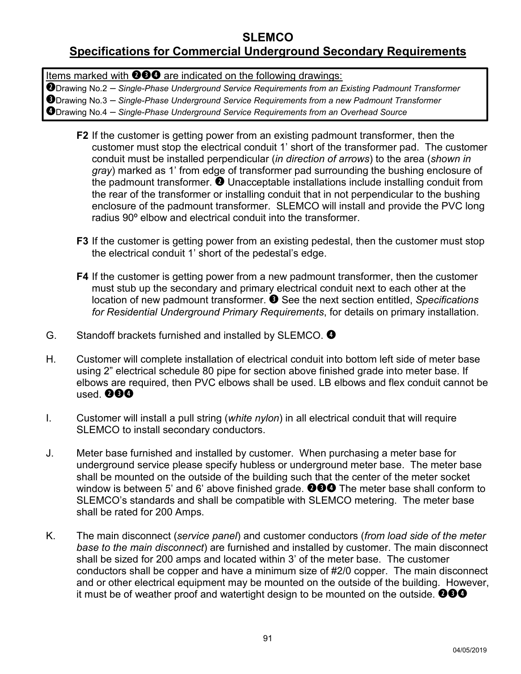### **SLEMCO**

# **Specifications for Commercial Underground Secondary Requirements**

Items marked with  $\bigcirc \Theta \bigcirc \Phi$  are indicated on the following drawings:

Drawing No.2 – *Single-Phase Underground Service Requirements from an Existing Padmount Transformer*

Drawing No.3 – *Single-Phase Underground Service Requirements from a new Padmount Transformer*

Drawing No.4 – *Single-Phase Underground Service Requirements from an Overhead Source*

- **F2** If the customer is getting power from an existing padmount transformer, then the customer must stop the electrical conduit 1' short of the transformer pad. The customer conduit must be installed perpendicular (*in direction of arrows*) to the area (*shown in gray*) marked as 1' from edge of transformer pad surrounding the bushing enclosure of the padmount transformer.  $\bullet$  Unacceptable installations include installing conduit from the rear of the transformer or installing conduit that in not perpendicular to the bushing enclosure of the padmount transformer. SLEMCO will install and provide the PVC long radius 90º elbow and electrical conduit into the transformer.
- **F3** If the customer is getting power from an existing pedestal, then the customer must stop the electrical conduit 1' short of the pedestal's edge.
- **F4** If the customer is getting power from a new padmount transformer, then the customer must stub up the secondary and primary electrical conduit next to each other at the location of new padmount transformer. <sup>8</sup> See the next section entitled, *Specifications for Residential Underground Primary Requirements*, for details on primary installation.
- G. Standoff brackets furnished and installed by SLEMCO.
- H. Customer will complete installation of electrical conduit into bottom left side of meter base using 2" electrical schedule 80 pipe for section above finished grade into meter base. If elbows are required, then PVC elbows shall be used. LB elbows and flex conduit cannot be used. **000**
- I. Customer will install a pull string (*white nylon*) in all electrical conduit that will require SLEMCO to install secondary conductors.
- J. Meter base furnished and installed by customer. When purchasing a meter base for underground service please specify hubless or underground meter base. The meter base shall be mounted on the outside of the building such that the center of the meter socket window is between 5' and 6' above finished grade.  $\mathbf{\Theta} \mathbf{\Theta}$  The meter base shall conform to SLEMCO's standards and shall be compatible with SLEMCO metering. The meter base shall be rated for 200 Amps.
- K. The main disconnect (*service panel*) and customer conductors (*from load side of the meter base to the main disconnect*) are furnished and installed by customer. The main disconnect shall be sized for 200 amps and located within 3' of the meter base. The customer conductors shall be copper and have a minimum size of #2/0 copper. The main disconnect and or other electrical equipment may be mounted on the outside of the building. However, it must be of weather proof and watertight design to be mounted on the outside.  $\bigcirc \hspace{-0.1cm} \bullet \hspace{-0.1cm} \bullet \hspace{-0.1cm} \bullet \hspace{-0.1cm} \bullet$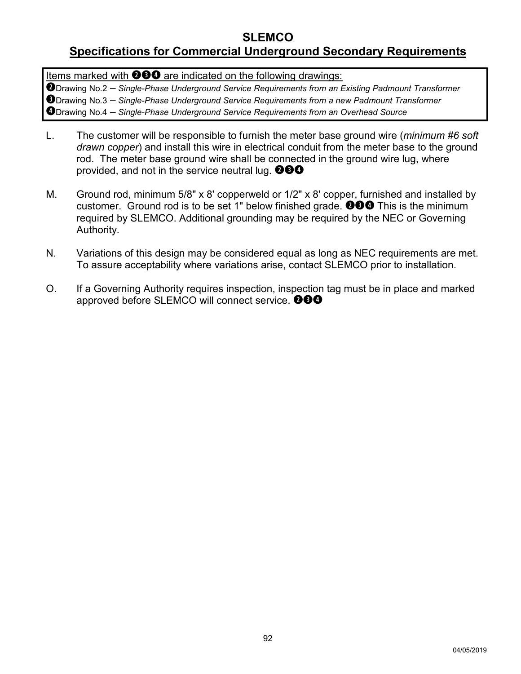### **SLEMCO**

## **Specifications for Commercial Underground Secondary Requirements**

Items marked with  $\odot$  $\odot$  are indicated on the following drawings:

Drawing No.2 – *Single-Phase Underground Service Requirements from an Existing Padmount Transformer* Drawing No.3 – *Single-Phase Underground Service Requirements from a new Padmount Transformer* Drawing No.4 – *Single-Phase Underground Service Requirements from an Overhead Source*

- L. The customer will be responsible to furnish the meter base ground wire (*minimum #6 soft drawn copper*) and install this wire in electrical conduit from the meter base to the ground rod. The meter base ground wire shall be connected in the ground wire lug, where provided, and not in the service neutral lug.  $\mathbf{\odot} \mathbf{\odot} \mathbf{\odot}$
- M. Ground rod, minimum 5/8" x 8' copperweld or 1/2" x 8' copper, furnished and installed by customer. Ground rod is to be set 1" below finished grade.  $\mathbf{000}$  This is the minimum required by SLEMCO. Additional grounding may be required by the NEC or Governing Authority*.*
- N. Variations of this design may be considered equal as long as NEC requirements are met. To assure acceptability where variations arise, contact SLEMCO prior to installation.
- O. If a Governing Authority requires inspection, inspection tag must be in place and marked approved before SLEMCO will connect service. **@@0**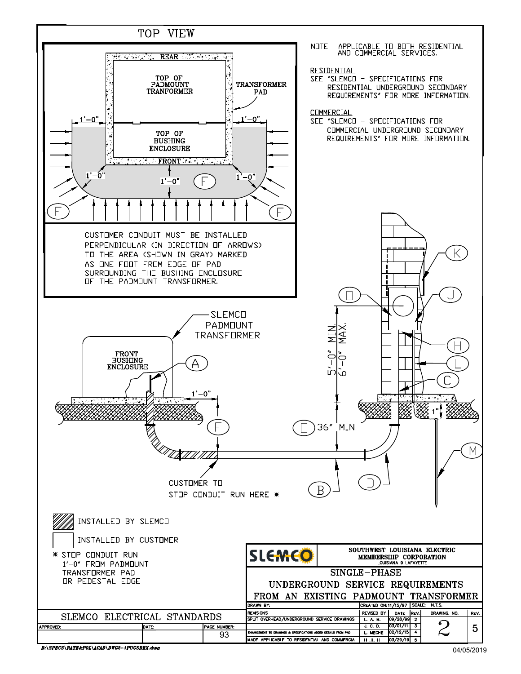

R:\SPECS\RATE&POL\ACAD\DWG2-1PUGSREX.dwg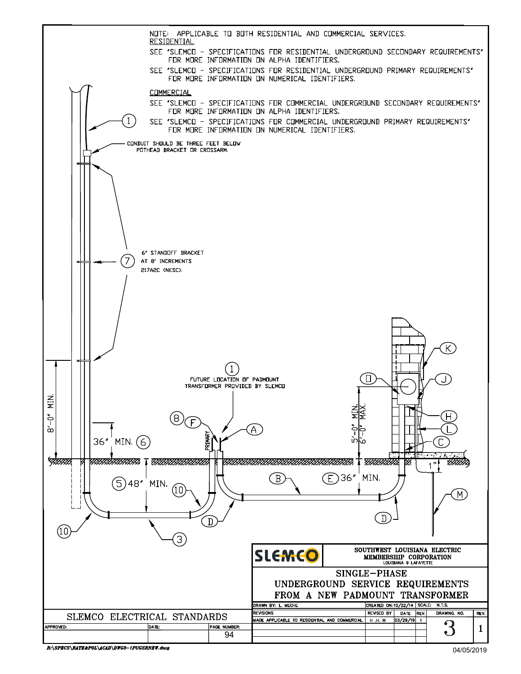

R:\SPECS\RATE&POL\ACAD\DWG3-1PUGSRNEW.dwg